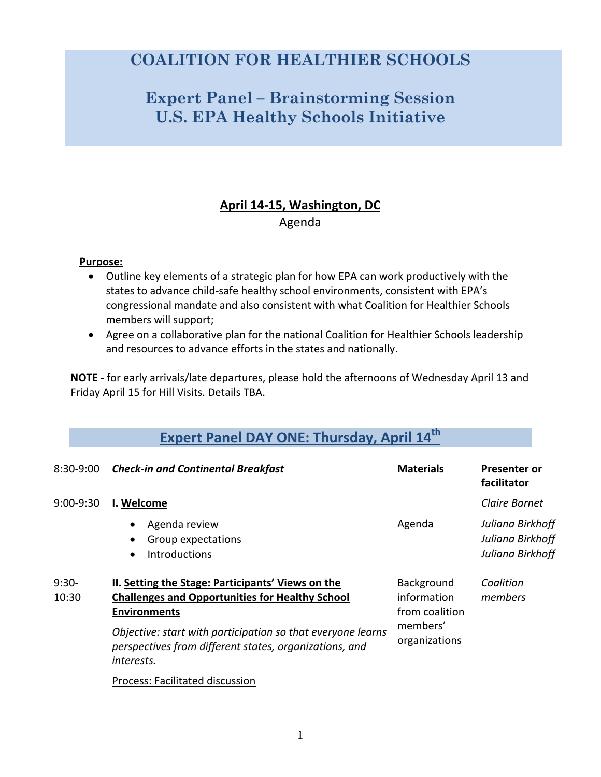## **COALITION FOR HEALTHIER SCHOOLS**

## **Expert Panel – Brainstorming Session U.S. EPA Healthy Schools Initiative**

## **April 14‐15, Washington, DC** Agenda

### **Purpose:**

- Outline key elements of a strategic plan for how EPA can work productively with the states to advance child-safe healthy school environments, consistent with EPA's congressional mandate and also consistent with what Coalition for Healthier Schools members will support;
- Agree on a collaborative plan for the national Coalition for Healthier Schools leadership and resources to advance efforts in the states and nationally.

**NOTE** ‐ for early arrivals/late departures, please hold the afternoons of Wednesday April 13 and Friday April 15 for Hill Visits. Details TBA.

|                  | <b>Expert Panel DAY ONE: Thursday, April 14th</b>                                                                                   |                                                                          |                                                          |
|------------------|-------------------------------------------------------------------------------------------------------------------------------------|--------------------------------------------------------------------------|----------------------------------------------------------|
| 8:30-9:00        | <b>Check-in and Continental Breakfast</b>                                                                                           | <b>Materials</b>                                                         | <b>Presenter or</b><br>facilitator                       |
| 9:00-9:30        | I. Welcome                                                                                                                          |                                                                          | Claire Barnet                                            |
|                  | Agenda review<br>$\bullet$<br>Group expectations<br>$\bullet$<br><b>Introductions</b><br>$\bullet$                                  | Agenda                                                                   | Juliana Birkhoff<br>Juliana Birkhoff<br>Juliana Birkhoff |
| $9:30-$<br>10:30 | II. Setting the Stage: Participants' Views on the<br><b>Challenges and Opportunities for Healthy School</b><br><b>Environments</b>  | Background<br>information<br>from coalition<br>members'<br>organizations | Coalition<br>members                                     |
|                  | Objective: start with participation so that everyone learns<br>perspectives from different states, organizations, and<br>interests. |                                                                          |                                                          |
|                  |                                                                                                                                     |                                                                          |                                                          |

Process: Facilitated discussion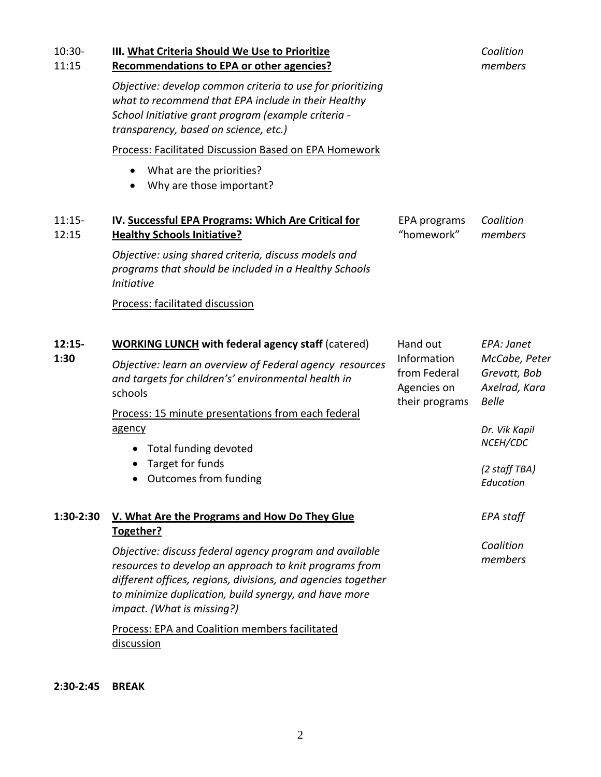| 10:30-<br>11:15   | III. What Criteria Should We Use to Prioritize<br>Recommendations to EPA or other agencies?                                                                                                                                                                              |                                                                          | Coalition<br>members                                                                                      |
|-------------------|--------------------------------------------------------------------------------------------------------------------------------------------------------------------------------------------------------------------------------------------------------------------------|--------------------------------------------------------------------------|-----------------------------------------------------------------------------------------------------------|
|                   | Objective: develop common criteria to use for prioritizing<br>what to recommend that EPA include in their Healthy<br>School Initiative grant program (example criteria -<br>transparency, based on science, etc.)                                                        |                                                                          |                                                                                                           |
|                   | Process: Facilitated Discussion Based on EPA Homework                                                                                                                                                                                                                    |                                                                          |                                                                                                           |
|                   | What are the priorities?<br>Why are those important?                                                                                                                                                                                                                     |                                                                          |                                                                                                           |
| $11:15-$<br>12:15 | IV. Successful EPA Programs: Which Are Critical for<br><b>Healthy Schools Initiative?</b>                                                                                                                                                                                | EPA programs<br>"homework"                                               | Coalition<br>members                                                                                      |
|                   | Objective: using shared criteria, discuss models and<br>programs that should be included in a Healthy Schools<br><b>Initiative</b>                                                                                                                                       |                                                                          |                                                                                                           |
|                   | Process: facilitated discussion                                                                                                                                                                                                                                          |                                                                          |                                                                                                           |
| $12:15-$<br>1:30  | <b>WORKING LUNCH with federal agency staff (catered)</b>                                                                                                                                                                                                                 | Hand out<br>Information<br>from Federal<br>Agencies on<br>their programs | EPA: Janet<br>McCabe, Peter<br>Grevatt, Bob<br>Axelrad, Kara<br><b>Belle</b><br>Dr. Vik Kapil<br>NCEH/CDC |
|                   | Objective: learn an overview of Federal agency resources<br>and targets for children's' environmental health in<br>schools                                                                                                                                               |                                                                          |                                                                                                           |
|                   | Process: 15 minute presentations from each federal<br>agency                                                                                                                                                                                                             |                                                                          |                                                                                                           |
|                   | Total funding devoted<br>$\bullet$                                                                                                                                                                                                                                       |                                                                          |                                                                                                           |
|                   | Target for funds<br>• Outcomes from funding                                                                                                                                                                                                                              |                                                                          | (2 staff TBA)<br>Education                                                                                |
| 1:30-2:30         | V. What Are the Programs and How Do They Glue<br>Together?                                                                                                                                                                                                               |                                                                          | <b>EPA</b> staff                                                                                          |
|                   | Objective: discuss federal agency program and available<br>resources to develop an approach to knit programs from<br>different offices, regions, divisions, and agencies together<br>to minimize duplication, build synergy, and have more<br>impact. (What is missing?) |                                                                          | Coalition<br>members                                                                                      |
|                   | <b>Process: EPA and Coalition members facilitated</b><br>discussion                                                                                                                                                                                                      |                                                                          |                                                                                                           |

**2:30‐2:45 BREAK**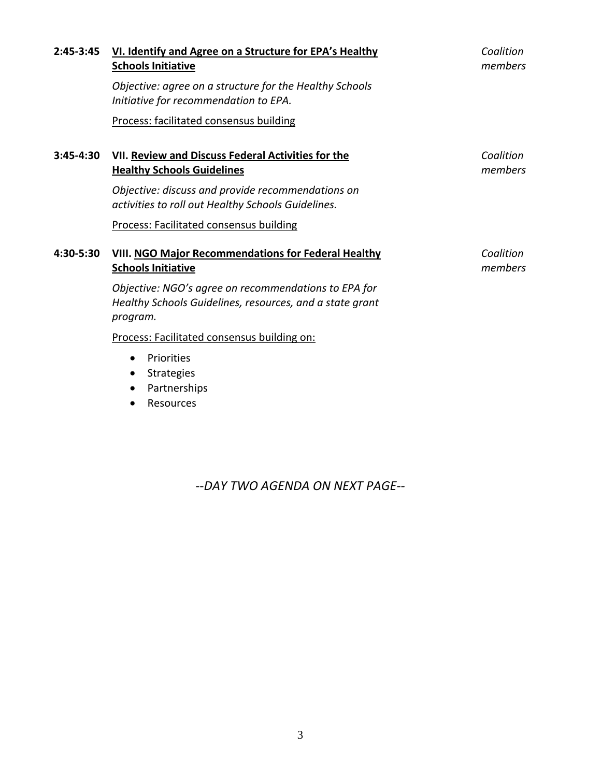| VI. Identify and Agree on a Structure for EPA's Healthy<br><b>Schools Initiative</b>                                         | Coalition<br>members |
|------------------------------------------------------------------------------------------------------------------------------|----------------------|
| Objective: agree on a structure for the Healthy Schools<br>Initiative for recommendation to EPA.                             |                      |
| Process: facilitated consensus building                                                                                      |                      |
| VII. Review and Discuss Federal Activities for the<br><b>Healthy Schools Guidelines</b>                                      | Coalition<br>members |
| Objective: discuss and provide recommendations on<br>activities to roll out Healthy Schools Guidelines.                      |                      |
| Process: Facilitated consensus building                                                                                      |                      |
| <b>VIII. NGO Major Recommendations for Federal Healthy</b><br><b>Schools Initiative</b>                                      | Coalition<br>members |
| Objective: NGO's agree on recommendations to EPA for<br>Healthy Schools Guidelines, resources, and a state grant<br>program. |                      |
| Process: Facilitated consensus building on:                                                                                  |                      |
| Priorities<br><b>Strategies</b><br>Partnerships                                                                              |                      |
|                                                                                                                              | Resources            |

*‐‐DAY TWO AGENDA ON NEXT PAGE‐‐*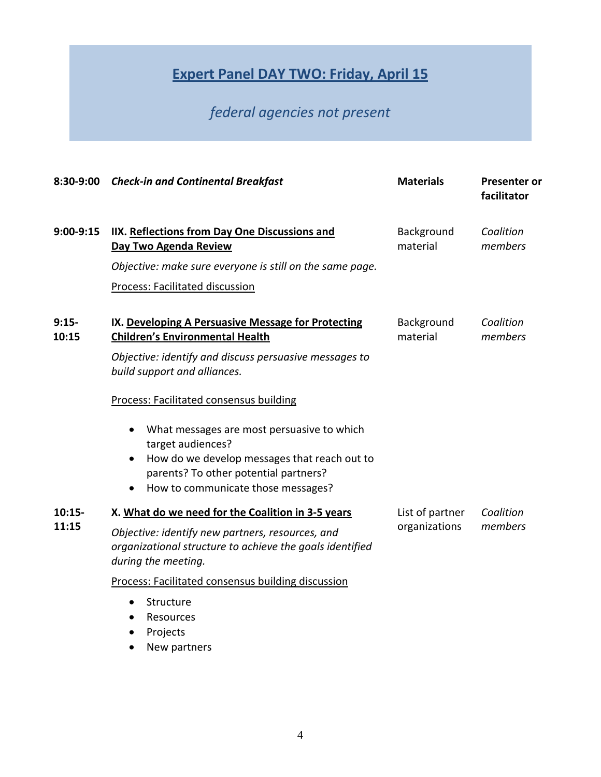# **Expert Panel DAY TWO: Friday, April 15**

# *federal agencies not present*

| 8:30-9:00         | <b>Check-in and Continental Breakfast</b>                                                                                                                                                                                                                           | <b>Materials</b>                 | <b>Presenter or</b><br>facilitator |
|-------------------|---------------------------------------------------------------------------------------------------------------------------------------------------------------------------------------------------------------------------------------------------------------------|----------------------------------|------------------------------------|
| $9:00-9:15$       | IIX. Reflections from Day One Discussions and<br>Day Two Agenda Review                                                                                                                                                                                              | Background<br>material           | Coalition<br>members               |
|                   | Objective: make sure everyone is still on the same page.                                                                                                                                                                                                            |                                  |                                    |
|                   | Process: Facilitated discussion                                                                                                                                                                                                                                     |                                  |                                    |
| $9:15-$<br>10:15  | IX. Developing A Persuasive Message for Protecting<br><b>Children's Environmental Health</b><br>Objective: identify and discuss persuasive messages to<br>build support and alliances.                                                                              | Background<br>material           | Coalition<br>members               |
|                   | Process: Facilitated consensus building<br>What messages are most persuasive to which<br>target audiences?<br>How do we develop messages that reach out to<br>$\bullet$<br>parents? To other potential partners?<br>How to communicate those messages?<br>$\bullet$ |                                  |                                    |
| $10:15-$<br>11:15 | X. What do we need for the Coalition in 3-5 years<br>Objective: identify new partners, resources, and<br>organizational structure to achieve the goals identified<br>during the meeting.                                                                            | List of partner<br>organizations | Coalition<br>members               |
|                   | Process: Facilitated consensus building discussion<br>Structure<br>$\bullet$<br>Resources<br>Projects                                                                                                                                                               |                                  |                                    |

• New partners